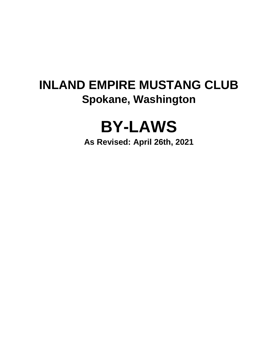# **INLAND EMPIRE MUSTANG CLUB Spokane, Washington**

# **BY-LAWS**

**As Revised: April 26th, 2021**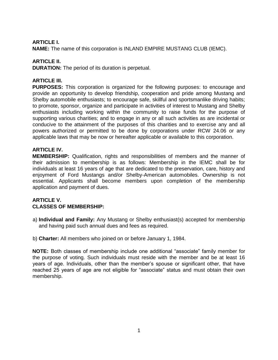# **ARTICLE I.**

**NAME:** The name of this corporation is INLAND EMPIRE MUSTANG CLUB (IEMC).

# **ARTICLE II.**

**DURATION:** The period of its duration is perpetual.

# **ARTICLE III.**

**PURPOSES:** This corporation is organized for the following purposes: to encourage and provide an opportunity to develop friendship, cooperation and pride among Mustang and Shelby automobile enthusiasts; to encourage safe, skillful and sportsmanlike driving habits; to promote, sponsor, organize and participate in activities of interest to Mustang and Shelby enthusiasts including working within the community to raise funds for the purpose of supporting various charities; and to engage in any or all such activities as are incidental or conducive to the attainment of the purposes of this charities and to exercise any and all powers authorized or permitted to be done by corporations under RCW 24.06 or any applicable laws that may be now or hereafter applicable or available to this corporation.

# **ARTICLE IV.**

**MEMBERSHIP:** Qualification, rights and responsibilities of members and the manner of their admission to membership is as follows: Membership in the IEMC shall be for individuals at least 16 years of age that are dedicated to the preservation, care, history and enjoyment of Ford Mustangs and/or Shelby-American automobiles. Ownership is not essential. Applicants shall become members upon completion of the membership application and payment of dues.

### **ARTICLE V. CLASSES OF MEMBERSHIP:**

- a) **Individual and Family:** Any Mustang or Shelby enthusiast(s) accepted for membership and having paid such annual dues and fees as required.
- b) **Charter:** All members who joined on or before January 1, 1984.

**NOTE:** Both classes of membership include one additional "associate" family member for the purpose of voting. Such individuals must reside with the member and be at least 16 years of age. Individuals, other than the member's spouse or significant other, that have reached 25 years of age are not eligible for "associate" status and must obtain their own membership.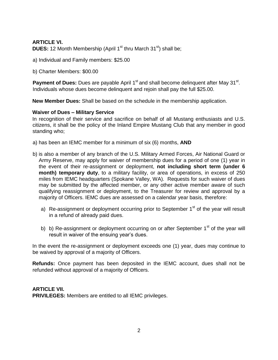### **ARTICLE VI.**

**DUES:** 12 Month Membership (April 1<sup>st</sup> thru March 31<sup>st</sup>) shall be;

a) Individual and Family members: \$25.00

b) Charter Members: \$00.00

Payment of Dues: Dues are payable April 1<sup>st</sup> and shall become delinquent after May 31<sup>st</sup>. Individuals whose dues become delinquent and rejoin shall pay the full \$25.00.

**New Member Dues:** Shall be based on the schedule in the membership application.

#### **Waiver of Dues – Military Service**

In recognition of their service and sacrifice on behalf of all Mustang enthusiasts and U.S. citizens, it shall be the policy of the Inland Empire Mustang Club that any member in good standing who;

- a) has been an IEMC member for a minimum of six (6) months, **AND**
- b) is also a member of any branch of the U.S. Military Armed Forces, Air National Guard or Army Reserve, may apply for waiver of membership dues for a period of one (1) year in the event of their re-assignment or deployment, **not including short term (under 6 month) temporary duty**, to a military facility, or area of operations, in excess of 250 miles from IEMC headquarters (Spokane Valley, WA). Requests for such waiver of dues may be submitted by the affected member, or any other active member aware of such qualifying reassignment or deployment, to the Treasurer for review and approval by a majority of Officers. IEMC dues are assessed on a calendar year basis, therefore:
	- a) Re-assignment or deployment occurring prior to September  $1<sup>st</sup>$  of the year will result in a refund of already paid dues.
	- b) b) Re-assignment or deployment occurring on or after September  $1<sup>st</sup>$  of the year will result in waiver of the ensuing year's dues.

In the event the re-assignment or deployment exceeds one (1) year, dues may continue to be waived by approval of a majority of Officers.

**Refunds:** Once payment has been deposited in the IEMC account, dues shall not be refunded without approval of a majority of Officers.

**ARTICLE VII. PRIVILEGES:** Members are entitled to all IEMC privileges.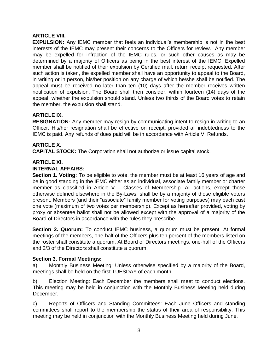#### **ARTICLE VIII.**

**EXPULSION:** Any IEMC member that feels an individual's membership is not in the best interests of the IEMC may present their concerns to the Officers for review. Any member may be expelled for infraction of the IEMC rules, or such other causes as may be determined by a majority of Officers as being in the best interest of the IEMC. Expelled member shall be notified of their expulsion by Certified mail, return receipt requested. After such action is taken, the expelled member shall have an opportunity to appeal to the Board, in writing or in person, his/her position on any charge of which he/she shall be notified. The appeal must be received no later than ten (10) days after the member receives written notification of expulsion. The Board shall then consider, within fourteen (14) days of the appeal, whether the expulsion should stand. Unless two thirds of the Board votes to retain the member, the expulsion shall stand.

### **ARTICLE IX.**

**RESIGNATION:** Any member may resign by communicating intent to resign in writing to an Officer. His/her resignation shall be effective on receipt, provided all indebtedness to the IEMC is paid. Any refunds of dues paid will be in accordance with Article VI Refunds.

#### **ARTICLE X.**

**CAPITAL STOCK:** The Corporation shall not authorize or issue capital stock.

#### **ARTICLE XI.**

#### **INTERNAL AFFAIRS:**

**Section 1. Voting:** To be eligible to vote, the member must be at least 16 years of age and be in good standing in the IEMC either as an individual, associate family member or charter member as classified in Article V – Classes of Membership. All actions, except those otherwise defined elsewhere in the By-Laws, shall be by a majority of those eligible voters present. Members (and their "associate" family member for voting purposes) may each cast one vote (maximum of two votes per membership). Except as hereafter provided, voting by proxy or absentee ballot shall not be allowed except with the approval of a majority of the Board of Directors in accordance with the rules they prescribe.

**Section 2. Quorum:** To conduct IEMC business, a quorum must be present. At formal meetings of the members, one-half of the Officers plus ten percent of the members listed on the roster shall constitute a quorum. At Board of Directors meetings, one-half of the Officers and 2/3 of the Directors shall constitute a quorum.

#### **Section 3. Formal Meetings:**

a) Monthly Business Meeting: Unless otherwise specified by a majority of the Board, meetings shall be held on the first TUESDAY of each month.

b) Election Meeting: Each December the members shall meet to conduct elections. This meeting may be held in conjunction with the Monthly Business Meeting held during December.

c) Reports of Officers and Standing Committees: Each June Officers and standing committees shall report to the membership the status of their area of responsibility. This meeting may be held in conjunction with the Monthly Business Meeting held during June.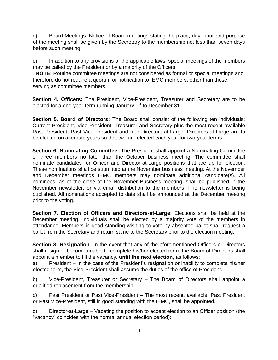d) Board Meetings: Notice of Board meetings stating the place, day, hour and purpose of the meeting shall be given by the Secretary to the membership not less than seven days before such meeting.

e) In addition to any provisions of the applicable laws, special meetings of the members may be called by the President or by a majority of the Officers.

 **NOTE:** Routine committee meetings are not considered as formal or special meetings and therefore do not require a quorum or notification to IEMC members, other than those serving as committee members.

**Section 4. Officers:** The President, Vice-President, Treasurer and Secretary are to be elected for a one-year term running January  $1<sup>st</sup>$  to December  $31<sup>st</sup>$ .

**Section 5. Board of Directors:** The Board shall consist of the following ten individuals; Current President, Vice-President, Treasurer and Secretary plus the most recent available Past President, Past Vice-President and four Directors-at-Large. Directors-at-Large are to be elected on alternate years so that two are elected each year for two-year terms.

**Section 6. Nominating Committee:** The President shall appoint a Nominating Committee of three members no later than the October business meeting. The committee shall nominate candidates for Officer and Director-at-Large positions that are up for election. These nominations shall be submitted at the November business meeting. At the November and December meetings IEMC members may nominate additional candidate(s). All nominees, as of the close of the November Business meeting, shall be published in the November newsletter, or via email distribution to the members if no newsletter is being published. All nominations accepted to date shall be announced at the December meeting prior to the voting.

**Section 7. Election of Officers and Directors-at-Large:** Elections shall be held at the December meeting. Individuals shall be elected by a majority vote of the members in attendance. Members in good standing wishing to vote by absentee ballot shall request a ballot from the Secretary and return same to the Secretary prior to the election meeting.

**Section 8. Resignation:** In the event that any of the aforementioned Officers or Directors shall resign or become unable to complete his/her elected term, the Board of Directors shall appoint a member to fill the vacancy, **until the next election,** as follows:

a) President – In the case of the President's resignation or inability to complete his/her elected term, the Vice-President shall assume the duties of the office of President.

b) Vice-President, Treasurer or Secretary – The Board of Directors shall appoint a qualified replacement from the membership.

c) Past President or Past Vice-President – The most recent, available, Past President or Past Vice-President, still in good standing with the IEMC, shall be appointed.

d) Director-at-Large – Vacating the position to accept election to an Officer position (the "vacancy" coincides with the normal annual election period):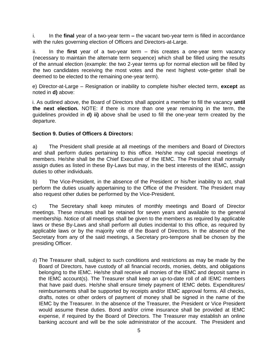i. In the **final** year of a two-year term – the vacant two-year term is filled in accordance with the rules governing election of Officers and Directors-at-Large.

ii. In the **first** year of a two-year term – this creates a one-year term vacancy (necessary to maintain the alternate term sequence) which shall be filled using the results of the annual election (example: the two 2-year terms up for normal election will be filled by the two candidates receiving the most votes and the next highest vote-getter shall be deemed to be elected to the remaining one-year term).

e) Director-at-Large – Resignation or inability to complete his/her elected term, **except** as noted in **d)** above:

i. As outlined above, the Board of Directors shall appoint a member to fill the vacancy **until the next election.** NOTE: if there is more than one year remaining in the term, the guidelines provided in **d) ii)** above shall be used to fill the one-year term created by the departure.

#### **Section 9. Duties of Officers & Directors:**

a) The President shall preside at all meetings of the members and Board of Directors and shall perform duties pertaining to this office. He/she may call special meetings of members. He/she shall be the Chief Executive of the IEMC. The President shall normally assign duties as listed in these By-Laws but may, in the best interests of the IEMC, assign duties to other individuals.

b) The Vice-President, in the absence of the President or his/her inability to act, shall perform the duties usually appertaining to the Office of the President. The President may also request other duties be performed by the Vice-President.

c) The Secretary shall keep minutes of monthly meetings and Board of Director meetings. These minutes shall be retained for seven years and available to the general membership. Notice of all meetings shall be given to the members as required by applicable laws or these By-Laws and shall perform all duties incidental to this office, as required by applicable laws or by the majority vote of the Board of Directors. In the absence of the Secretary from any of the said meetings, a Secretary pro-tempore shall be chosen by the presiding Officer.

d) The Treasurer shall, subject to such conditions and restrictions as may be made by the Board of Directors, have custody of all financial records, monies, debts, and obligations belonging to the IEMC. He/she shall receive all monies of the IEMC and deposit same in the IEMC account(s). The Treasurer shall keep an up-to-date roll of all IEMC members that have paid dues. He/she shall ensure timely payment of IEMC debts. Expenditures/ reimbursements shall be supported by receipts and/or IEMC approval forms. All checks, drafts, notes or other orders of payment of money shall be signed in the name of the IEMC by the Treasurer. In the absence of the Treasurer, the President or Vice President would assume these duties. Bond and/or crime insurance shall be provided at IEMC expense, if required by the Board of Directors. The Treasurer may establish an online banking account and will be the sole administrator of the account. The President and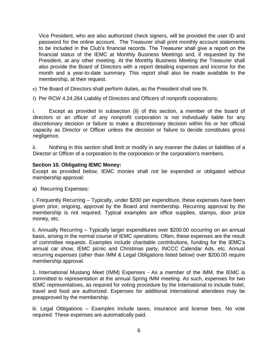Vice President, who are also authorized check signers, will be provided the user ID and password for the online account. The Treasurer shall print monthly account statements to be included in the Club's financial records. The Treasurer shall give a report on the financial status of the IEMC at Monthly Business Meetings and, if requested by the President, at any other meeting. At the Monthly Business Meeting the Treasurer shall also provide the Board of Directors with a report detailing expenses and income for the month and a year-to-date summary. This report shall also be made available to the membership, at their request.

e) The Board of Directors shall perform duties, as the President shall see fit.

f) Per RCW 4.24.264 Liability of Directors and Officers of nonprofit corporations:

i. Except as provided in subsection (ii) of this section, a member of the board of directors or an officer of any nonprofit corporation is not individually liable for any discretionary decision or failure to make a discretionary decision within his or her official capacity as Director or Officer unless the decision or failure to decide constitutes gross negligence.

ii. Nothing in this section shall limit or modify in any manner the duties or liabilities of a Director or Officer of a corporation to the corporation or the corporation's members.

#### **Section 10. Obligating IEMC Money:**

Except as provided below, IEMC monies shall not be expended or obligated without membership approval:

a) Recurring Expenses:

i. Frequently Recurring – Typically, under \$200 per expenditure, these expenses have been given prior, ongoing, approval by the Board and membership. Recurring approval by the membership is not required. Typical examples are office supplies, stamps, door prize money, etc.

ii. Annually Recurring – Typically larger expenditures over \$200.00 occurring on an annual basis, arising in the normal course of IEMC operations. Often, these expenses are the result of committee requests. Examples include charitable contributions, funding for the IEMC's annual car show, IEMC picnic and Christmas party, INCCC Calendar Ads, etc. Annual recurring expenses (other than IMM & Legal Obligations listed below) over \$200.00 require membership approval.

1. International Mustang Meet (IMM) Expenses - As a member of the IMM, the IEMC is committed to representation at the annual Spring IMM meeting. As such, expenses for two IEMC representatives, as required for voting procedure by the International to include hotel, travel and food are authorized. Expenses for additional International attendees may be preapproved by the membership.

iii. Legal Obligations – Examples include taxes, insurance and license fees. No vote required. These expenses are automatically paid.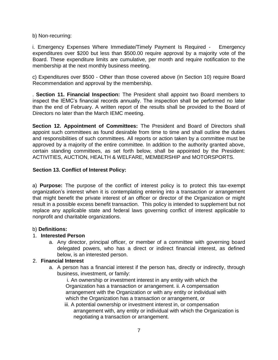#### b) Non-recurring:

i. Emergency Expenses Where Immediate/Timely Payment Is Required - Emergency expenditures over \$200 but less than \$500.00 require approval by a majority vote of the Board. These expenditure limits are cumulative, per month and require notification to the membership at the next monthly business meeting.

c) Expenditures over \$500 - Other than those covered above (in Section 10) require Board Recommendation and approval by the membership.

. **Section 11. Financial Inspection:** The President shall appoint two Board members to inspect the IEMC's financial records annually. The inspection shall be performed no later than the end of February. A written report of the results shall be provided to the Board of Directors no later than the March IEMC meeting.

**Section 12. Appointment of Committees:** The President and Board of Directors shall appoint such committees as found desirable from time to time and shall outline the duties and responsibilities of such committees. All reports or action taken by a committee must be approved by a majority of the entire committee. In addition to the authority granted above, certain standing committees, as set forth below, shall be appointed by the President: ACTIVITIES, AUCTION, HEALTH & WELFARE, MEMBERSHIP and MOTORSPORTS.

### **Section 13. Conflict of Interest Policy:**

a) **Purpose:** The purpose of the conflict of interest policy is to protect this tax-exempt organization's interest when it is contemplating entering into a transaction or arrangement that might benefit the private interest of an officer or director of the Organization or might result in a possible excess benefit transaction. This policy is intended to supplement but not replace any applicable state and federal laws governing conflict of interest applicable to nonprofit and charitable organizations.

#### b) **Definitions:**

### 1. **Interested Person**

a. Any director, principal officer, or member of a committee with governing board delegated powers, who has a direct or indirect financial interest, as defined below, is an interested person.

### 2. **Financial Interest**

a. A person has a financial interest if the person has, directly or indirectly, through business, investment, or family:

i. An ownership or investment interest in any entity with which the Organization has a transaction or arrangement. ii. A compensation arrangement with the Organization or with any entity or individual with which the Organization has a transaction or arrangement, or

iii. A potential ownership or investment interest in, or compensation arrangement with, any entity or individual with which the Organization is negotiating a transaction or arrangement.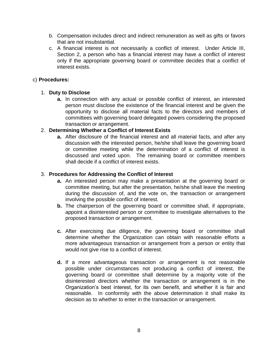- b. Compensation includes direct and indirect remuneration as well as gifts or favors that are not insubstantial.
- c. A financial interest is not necessarily a conflict of interest. Under Article III, Section 2, a person who has a financial interest may have a conflict of interest only if the appropriate governing board or committee decides that a conflict of interest exists.

#### c) **Procedures:**

#### 1. **Duty to Disclose**

**a.** In connection with any actual or possible conflict of interest, an interested person must disclose the existence of the financial interest and be given the opportunity to disclose all material facts to the directors and members of committees with governing board delegated powers considering the proposed transaction or arrangement.

#### 2. **Determining Whether a Conflict of Interest Exists**

**a.** After disclosure of the financial interest and all material facts, and after any discussion with the interested person, he/she shall leave the governing board or committee meeting while the determination of a conflict of interest is discussed and voted upon. The remaining board or committee members shall decide if a conflict of interest exists.

#### 3. **Procedures for Addressing the Conflict of Interest**

- **a.** An interested person may make a presentation at the governing board or committee meeting, but after the presentation, he/she shall leave the meeting during the discussion of, and the vote on, the transaction or arrangement involving the possible conflict of interest.
- **b.** The chairperson of the governing board or committee shall, if appropriate, appoint a disinterested person or committee to investigate alternatives to the proposed transaction or arrangement.
- **c.** After exercising due diligence, the governing board or committee shall determine whether the Organization can obtain with reasonable efforts a more advantageous transaction or arrangement from a person or entity that would not give rise to a conflict of interest.
- **d.** If a more advantageous transaction or arrangement is not reasonable possible under circumstances not producing a conflict of interest, the governing board or committee shall determine by a majority vote of the disinterested directors whether the transaction or arrangement is in the Organization's best interest, for its own benefit, and whether it is fair and reasonable. In conformity with the above determination it shall make its decision as to whether to enter in the transaction or arrangement.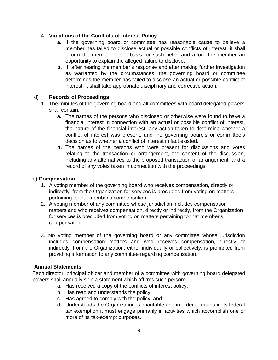#### 4. **Violations of the Conflicts of Interest Policy**

- **a.** If the governing board or committee has reasonable cause to believe a member has failed to disclose actual or possible conflicts of interest, it shall inform the member of the basis for such belief and afford the member an opportunity to explain the alleged failure to disclose.
- **b.** If, after hearing the member's response and after making further investigation as warranted by the circumstances, the governing board or committee determines the member has failed to disclose an actual or possible conflict of interest, it shall take appropriate disciplinary and corrective action.

#### d) **Records of Proceedings**

- 1. The minutes of the governing board and all committees with board delegated powers shall contain:
	- **a.** The names of the persons who disclosed or otherwise were found to have a financial interest in connection with an actual or possible conflict of interest, the nature of the financial interest, any action taken to determine whether a conflict of interest was present, and the governing board's or committee's decision as to whether a conflict of interest in fact existed.
	- **b.** The names of the persons who were present for discussions and votes relating to the transaction or arrangement, the content of the discussion, including any alternatives to the proposed transaction or arrangement, and a record of any votes taken in connection with the proceedings.

#### e) **Compensation**

- 1. A voting member of the governing board who receives compensation, directly or indirectly, from the Organization for services is precluded from voting on matters pertaining to that member's compensation.
- 2. A voting member of any committee whose jurisdiction includes compensation matters and who receives compensation, directly or indirectly, from the Organization for services is precluded from voting on matters pertaining to that member's compensation.
- 3. No voting member of the governing board or any committee whose jurisdiction includes compensation matters and who receives compensation, directly or indirectly, from the Organization, either individually or collectively, is prohibited from providing information to any committee regarding compensation.

#### **Annual Statements**

Each director, principal officer and member of a committee with governing board delegated powers shall annually sign a statement which affirms such person:

- a. Has received a copy of the conflicts of interest policy,
- b. Has read and understands the policy,
- c. Has agreed to comply with the policy, and
- d. Understands the Organization is charitable and in order to maintain its federal tax exemption it must engage primarily in activities which accomplish one or more of its tax-exempt purposes.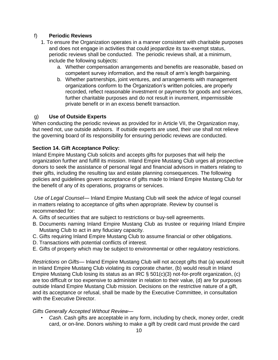# f) **Periodic Reviews**

- 1. To ensure the Organization operates in a manner consistent with charitable purposes and does not engage in activities that could jeopardize its tax-exempt status, periodic reviews shall be conducted. The periodic reviews shall, at a minimum, include the following subjects:
	- a. Whether compensation arrangements and benefits are reasonable, based on competent survey information, and the result of arm's length bargaining.
	- b. Whether partnerships, joint ventures, and arrangements with management organizations conform to the Organization's written policies, are properly recorded, reflect reasonable investment or payments for goods and services, further charitable purposes and do not result in inurement, impermissible private benefit or in an excess benefit transaction.

### g) **Use of Outside Experts**

When conducting the periodic reviews as provided for in Article VII, the Organization may, but need not, use outside advisors. If outside experts are used, their use shall not relieve the governing board of its responsibility for ensuring periodic reviews are conducted.

# **Section 14. Gift Acceptance Policy:**

Inland Empire Mustang Club solicits and accepts gifts for purposes that will help the organization further and fulfill its mission. Inland Empire Mustang Club urges all prospective donors to seek the assistance of personal legal and financial advisors in matters relating to their gifts, including the resulting tax and estate planning consequences. The following policies and guidelines govern acceptance of gifts made to Inland Empire Mustang Club for the benefit of any of its operations, programs or services.

*Use of Legal Counsel*— Inland Empire Mustang Club will seek the advice of legal counsel in matters relating to acceptance of gifts when appropriate. Review by counsel is recommended for:

- A. Gifts of securities that are subject to restrictions or buy-sell agreements.
- B. Documents naming Inland Empire Mustang Club as trustee or requiring Inland Empire Mustang Club to act in any fiduciary capacity.
- C. Gifts requiring Inland Empire Mustang Club to assume financial or other obligations.
- D. Transactions with potential conflicts of interest.
- E. Gifts of property which may be subject to environmental or other regulatory restrictions.

*Restrictions on Gifts*— Inland Empire Mustang Club will not accept gifts that (a) would result in Inland Empire Mustang Club violating its corporate charter, (b) would result in Inland Empire Mustang Club losing its status as an IRC § 501(c)(3) not-for-profit organization, (c) are too difficult or too expensive to administer in relation to their value, (d) are for purposes outside Inland Empire Mustang Club mission. Decisions on the restrictive nature of a gift, and its acceptance or refusal, shall be made by the Executive Committee, in consultation with the Executive Director.

### *Gifts Generally Accepted Without Review*—

• *Cash*. Cash gifts are acceptable in any form, including by check, money order, credit card, or on-line. Donors wishing to make a gift by credit card must provide the card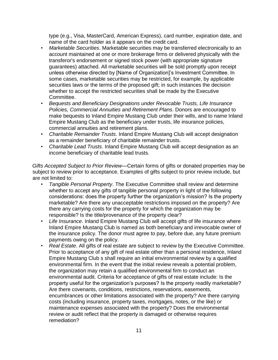type (e.g., Visa, MasterCard, American Express), card number, expiration date, and name of the card holder as it appears on the credit card.

- *Marketable Securities*. Marketable securities may be transferred electronically to an account maintained at one or more brokerage firms or delivered physically with the transferor's endorsement or signed stock power (with appropriate signature guarantees) attached. All marketable securities will be sold promptly upon receipt unless otherwise directed by [Name of Organization]'s Investment Committee. In some cases, marketable securities may be restricted, for example, by applicable securities laws or the terms of the proposed gift; in such instances the decision whether to accept the restricted securities shall be made by the Executive Committee.
- *Bequests and Beneficiary Designations under Revocable Trusts, Life Insurance Policies, Commercial Annuities and Retirement Plans*. Donors are encouraged to make bequests to Inland Empire Mustang Club under their wills, and to name Inland Empire Mustang Club as the beneficiary under trusts, life insurance policies, commercial annuities and retirement plans.
- *Charitable Remainder Trusts*. Inland Empire Mustang Club will accept designation as a remainder beneficiary of charitable remainder trusts.
- *Charitable Lead Trusts*. Inland Empire Mustang Club will accept designation as an income beneficiary of charitable lead trusts.

*Gifts Accepted Subject to Prior Review*—Certain forms of gifts or donated properties may be subject to review prior to acceptance. Examples of gifts subject to prior review include, but are not limited to:

- *Tangible Personal Property*. The Executive Committee shall review and determine whether to accept any gifts of tangible personal property in light of the following considerations: does the property further the organization's mission? Is the property marketable? Are there any unacceptable restrictions imposed on the property? Are there any carrying costs for the property for which the organization may be responsible? Is the title/provenance of the property clear?
- *Life Insurance*. Inland Empire Mustang Club will accept gifts of life insurance where Inland Empire Mustang Club is named as both beneficiary and irrevocable owner of the insurance policy. The donor must agree to pay, before due, any future premium payments owing on the policy.
- *Real Estate*. All gifts of real estate are subject to review by the Executive Committee. Prior to acceptance of any gift of real estate other than a personal residence, Inland Empire Mustang Club s shall require an initial environmental review by a qualified environmental firm. In the event that the initial review reveals a potential problem, the organization may retain a qualified environmental firm to conduct an environmental audit. Criteria for acceptance of gifts of real estate include: Is the property useful for the organization's purposes? Is the property readily marketable? Are there covenants, conditions, restrictions, reservations, easements, encumbrances or other limitations associated with the property? Are there carrying costs (including insurance, property taxes, mortgages, notes, or the like) or maintenance expenses associated with the property? Does the environmental review or audit reflect that the property is damaged or otherwise requires remediation?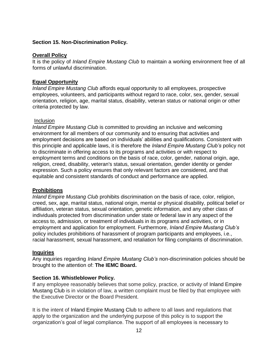#### **Section 15. Non-Discrimination Policy.**

#### **Overall Policy**

It is the policy of *Inland Empire Mustang Club* to maintain a working environment free of all forms of unlawful discrimination.

#### **Equal Opportunity**

*Inland Empire Mustang Club* affords equal opportunity to all employees, prospective employees, volunteers, and participants without regard to race, color, sex, gender, sexual orientation, religion, age, marital status, disability, veteran status or national origin or other criteria protected by law.

#### Inclusion

*Inland Empire Mustang Club* is committed to providing an inclusive and welcoming environment for all members of our community and to ensuring that activities and employment decisions are based on individuals' abilities and qualifications. Consistent with this principle and applicable laws, it is therefore the *Inland Empire Mustang Club's* policy not to discriminate in offering access to its programs and activities or with respect to employment terms and conditions on the basis of race, color, gender, national origin, age, religion, creed, disability, veteran's status, sexual orientation, gender identity or gender expression. Such a policy ensures that only relevant factors are considered, and that equitable and consistent standards of conduct and performance are applied.

#### **Prohibitions**

*Inland Empire Mustang Club* prohibits discrimination on the basis of race, color, religion, creed, sex, age, marital status, national origin, mental or physical disability, political belief or affiliation, veteran status, sexual orientation, genetic information, and any other class of individuals protected from discrimination under state or federal law in any aspect of the access to, admission, or treatment of individuals in its programs and activities, or in employment and application for employment. Furthermore, *Inland Empire Mustang Club's*  policy includes prohibitions of harassment of program participants and employees, i.e., racial harassment, sexual harassment, and retaliation for filing complaints of discrimination.

#### **Inquiries**

Any inquiries regarding *Inland Empire Mustang Club's* non-discrimination policies should be brought to the attention of: **The IEMC Board.**

#### **Section 16. Whistleblower Policy.**

If any employee reasonably believes that some policy, practice, or activity of Inland Empire Mustang Club is in violation of law, a written complaint must be filed by that employee with the Executive Director or the Board President.

It is the intent of Inland Empire Mustang Club to adhere to all laws and regulations that apply to the organization and the underlying purpose of this policy is to support the organization's goal of legal compliance. The support of all employees is necessary to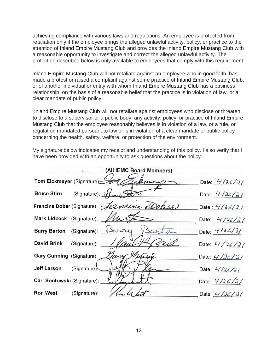achieving compliance with various laws and regulations. An employee is protected from retaliation only if the employee brings the alleged unlawful activity, policy, or practice to the attention of Inland Empire Mustang Club and provides the Inland Empire Mustang Club with a reasonable opportunity to investigate and correct the alleged unlawful activity. The protection described below is only available to employees that comply with this requirement.

Inland Empire Mustang Club will not retaliate against an employee who in good faith, has made a protest or raised a complaint against some practice of Inland Empire Mustang Club, or of another individual or entity with whom Inland Empire Mustang Club has a business relationship, on the basis of a reasonable belief that the practice is in violation of law, or a clear mandate of public policy.

Inland Empire Mustang Club will not retaliate against employees who disclose or threaten to disclose to a supervisor or a public body, any activity, policy, or practice of Inland Empire Mustang Club that the employee reasonably believes is in violation of a law, or a rule, or regulation mandated pursuant to law or is in violation of a clear mandate of public policy concerning the health, safety, welfare, or protection of the environment.

My signature below indicates my receipt and understanding of this policy. I also verify that I have been provided with an opportunity to ask questions about the policy.

| (All IEMC Board Members)                  |                 |
|-------------------------------------------|-----------------|
| Tom Eickmeyer (Signature)                 | Date: $4/26/2/$ |
| Bruce Stirn (Signature): <i>Munie</i> 50  | Date: $4/26/2/$ |
| Francine Dober (Signature): Janeine Bober | Date: $4/26/2/$ |
| Mark Lidbeck (Signature): 1/12            | Date: $4/26/2/$ |
| Barry Barton (Signature): 15 Jarry        | Date: $4/26/2/$ |
| David Brink (Signature): //2              | Date: $4/26/2/$ |
| Dany<br>Gary Gunning (Signature):         | Date: $4/26/2/$ |
| <b>Jeff Larson</b><br>(Signature).        | Date: $4/26/21$ |
| Carl Sontowski (Signature):               | Date: $4/26/2/$ |
| <b>Ron West</b><br>(Signature):           | Date: $4/26/2/$ |